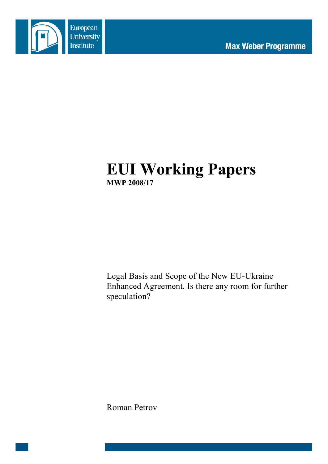

# **EUI Working Papers MWP 2008/17**

Legal Basis and Scope of the New EU-Ukraine Enhanced Agreement. Is there any room for further speculation?

Roman Petrov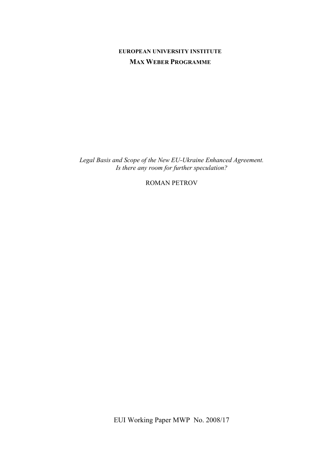# **EUROPEAN UNIVERSITY INSTITUTE MAX WEBER PROGRAMME**

*Legal Basis and Scope of the New EU-Ukraine Enhanced Agreement. Is there any room for further speculation?*

ROMAN PETROV

EUI Working Paper MWP No. 2008/17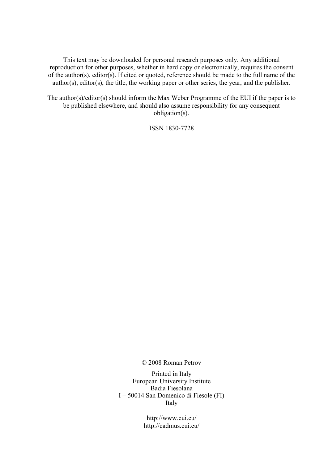This text may be downloaded for personal research purposes only. Any additional reproduction for other purposes, whether in hard copy or electronically, requires the consent of the author(s), editor(s). If cited or quoted, reference should be made to the full name of the author(s), editor(s), the title, the working paper or other series, the year, and the publisher.

The author(s)/editor(s) should inform the Max Weber Programme of the EUI if the paper is to be published elsewhere, and should also assume responsibility for any consequent obligation(s).

ISSN 1830-7728

© 2008 Roman Petrov

Printed in Italy European University Institute Badia Fiesolana I – 50014 San Domenico di Fiesole (FI) Italy

> http://www.eui.eu/ http://cadmus.eui.eu/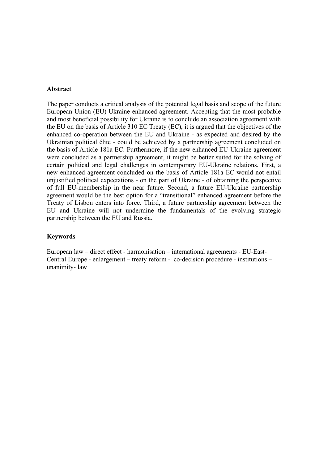#### **Abstract**

The paper conducts a critical analysis of the potential legal basis and scope of the future European Union (EU)-Ukraine enhanced agreement. Accepting that the most probable and most beneficial possibility for Ukraine is to conclude an association agreement with the EU on the basis of Article 310 EC Treaty (EC), it is argued that the objectives of the enhanced co-operation between the EU and Ukraine - as expected and desired by the Ukrainian political élite - could be achieved by a partnership agreement concluded on the basis of Article 181a EC. Furthermore, if the new enhanced EU-Ukraine agreement were concluded as a partnership agreement, it might be better suited for the solving of certain political and legal challenges in contemporary EU-Ukraine relations. First, a new enhanced agreement concluded on the basis of Article 181a EC would not entail unjustified political expectations - on the part of Ukraine - of obtaining the perspective of full EU-membership in the near future. Second, a future EU-Ukraine partnership agreement would be the best option for a "transitional" enhanced agreement before the Treaty of Lisbon enters into force. Third, a future partnership agreement between the EU and Ukraine will not undermine the fundamentals of the evolving strategic partnership between the EU and Russia.

#### **Keywords**

European law – direct effect - harmonisation – international agreements - EU-East-Central Europe - enlargement – treaty reform - co-decision procedure - institutions – unanimity- law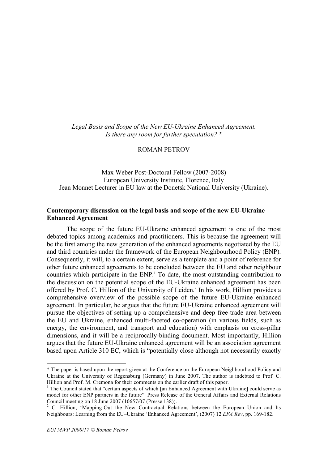*Legal Basis and Scope of the New EU-Ukraine Enhanced Agreement. Is there any room for further speculation?* **\***

ROMAN PETROV

Max Weber Post-Doctoral Fellow (2007-2008) European University Institute, Florence, Italy Jean Monnet Lecturer in EU law at the Donetsk National University (Ukraine).

#### **Contemporary discussion on the legal basis and scope of the new EU-Ukraine Enhanced Agreement**

The scope of the future EU-Ukraine enhanced agreement is one of the most debated topics among academics and practitioners. This is because the agreement will be the first among the new generation of the enhanced agreements negotiated by the EU and third countries under the framework of the European Neighbourhood Policy (ENP). Consequently, it will, to a certain extent, serve as a template and a point of reference for other future enhanced agreements to be concluded between the EU and other neighbour countries which participate in the ENP. <sup>1</sup> To date, the most outstanding contribution to the discussion on the potential scope of the EU-Ukraine enhanced agreement has been offered by Prof. C. Hillion of the University of Leiden.<sup>2</sup> In his work, Hillion provides a comprehensive overview of the possible scope of the future EU-Ukraine enhanced agreement. In particular, he argues that the future EU-Ukraine enhanced agreement will pursue the objectives of setting up a comprehensive and deep free-trade area between the EU and Ukraine, enhanced multi-faceted co-operation (in various fields, such as energy, the environment, and transport and education) with emphasis on cross-pillar dimensions, and it will be a reciprocally-binding document. Most importantly, Hillion argues that the future EU-Ukraine enhanced agreement will be an association agreement based upon Article 310 EC, which is "potentially close although not necessarily exactly

 $\overline{a}$ 

<sup>\*</sup> The paper is based upon the report given at the Conference on the European Neighbourhood Policy and Ukraine at the University of Regensburg (Germany) in June 2007. The author is indebted to Prof. C. Hillion and Prof. M. Cremona for their comments on the earlier draft of this paper.

 $<sup>1</sup>$  The Council stated that "certain aspects of which [an Enhanced Agreement with Ukraine] could serve as</sup> model for other ENP partners in the future". Press Release of the General Affairs and External Relations Council meeting on 18 June 2007 (10657/07 (Presse 138)).<br><sup>2</sup> C. Hillion, 'Mapping-Out the New Contractual Relations between the European Union and Its

Neighbours: Learning from the EU–Ukraine 'Enhanced Agreement', (2007) 12 *EFA Rev*, pp. 169-182.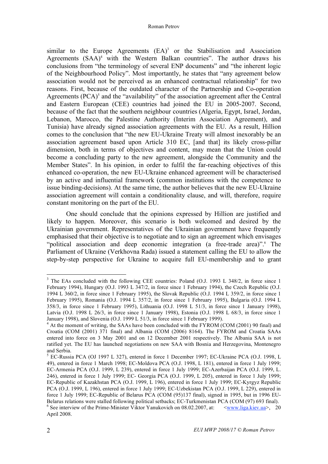similar to the Europe Agreements (EA) <sup>3</sup> or the Stabilisation and Association Agreements (SAA) <sup>4</sup> with the Western Balkan countries". The author draws his conclusions from "the terminology of several ENP documents" and "the inherent logic of the Neighbourhood Policy". Most importantly, he states that "any agreement below association would not be perceived as an enhanced contractual relationship" for two reasons. First, because of the outdated character of the Partnership and Co-operation Agreements (PCA)<sup>5</sup> and the "availability" of the association agreement after the Central and Eastern European (CEE) countries had joined the EU in 2005-2007. Second, because of the fact that the southern neighbour countries (Algeria, Egypt, Israel, Jordan, Lebanon, Marocco, the Palestine Authority (Interim Association Agreement), and Tunisia) have already signed association agreements with the EU. As a result, Hillion comes to the conclusion that "the new EU-Ukraine Treaty will almost inexorably be an association agreement based upon Article 310 EC, [and that] its likely cross-pillar dimension, both in terms of objectives and content, may mean that the Union could become a concluding party to the new agreement, alongside the Community and the Member States". In his opinion, in order to fulfil the far-reaching objectives of this enhanced co-operation, the new EU-Ukraine enhanced agreement will be characterised by an active and influential framework (common institutions with the competence to issue binding-decisions). At the same time, the author believes that the new EU-Ukraine association agreement will contain a conditionality clause, and will, therefore, require constant monitoring on the part of the EU.

One should conclude that the opinions expressed by Hillion are justified and likely to happen. Moreover, this scenario is both welcomed and desired by the Ukrainian government. Representatives of the Ukrainian government have frequently emphasised that their objective is to negotiate and to sign an agreement which envisages "political association and deep economic integration (a free-trade area)". <sup>6</sup> The Parliament of Ukraine (Verkhovna Rada) issued a statement calling the EU to allow the step-by-step perspective for Ukraine to acquire full EU-membership and to grant

<sup>&</sup>lt;sup>3</sup> The EAs concluded with the following CEE countries: Poland (O.J. 1993 L 348/2, in force since 1 February 1994), Hungary (O.J. 1993 L 347/2, in force since 1 February 1994), the Czech Republic (O.J. 1994 L 360/2, in force since 1 February 1995), the Slovak Republic (O.J. 1994 L 359/2, in force since 1 February 1995), Romania (O.J. 1994 L 357/2, in force since 1 February 1995), Bulgaria (O.J. 1994 L 358/3, in force since 1 February 1995), Lithuania (O.J. 1998 L 51/3, in force since 1 January 1998), Latvia (O.J. 1998 L 26/3, in force since 1 January 1998), Estonia (O.J. 1998 L 68/3, in force since 1 January 1998), and Slovenia (O.J. 1999 L 51/3, in force since 1 February 1999).

 $4$  At the moment of writing, the SAAs have been concluded with the FYROM (COM (2001) 90 final) and Croatia (COM (2001) 371 final) and Albania (COM (2006) 8164). The FYROM and Croatia SAAs entered into force on 3 May 2001 and on 12 December 2001 respectively. The Albania SAA is not ratified yet. The EU has launched negotiations on new SAA with Bosnia and Herzegovina, Montenegro

<sup>&</sup>lt;sup>5</sup> EC-Russia PCA (OJ 1997 L 327), entered in force 1 December 1997; EC-Ukraine PCA (O.J. 1998, L 49), entered in force 1 March 1998; EC-Moldova PCA (O.J. 1998, L 181), entered in force 1 July 1999; EC-Armenia PCA (O.J. 1999, L 239), entered in force 1 July 1999; EC-Azerbaijan PCA (O.J. 1999, L. 246), entered in force 1 July 1999; EC- Georgia PCA (O.J. 1999, L 205), entered in force 1 July 1999; EC-Republic of Kazakhstan PCA (O.J. 1999, L 196), entered in force 1 July 1999; EC-Kyrgyz Republic PCA (O.J. 1999, L 196), entered in force 1 July 1999; EC-Uzbekistan PCA (O.J. 1999, L 229), entered in force 1 July 1999; EC-Republic of Belarus PCA (COM (95)137 final), signed in 1995, but in 1996 EU-Belarus relations were stalled following political setbacks; EC-Turkmenistan PCA (COM (97) 693 final).<br><sup>6</sup> See interview of the Prime-Minister Viktor Yanukovich on 08.02.2007, at: <www.liga.kiev.ua>, 20 April 2008.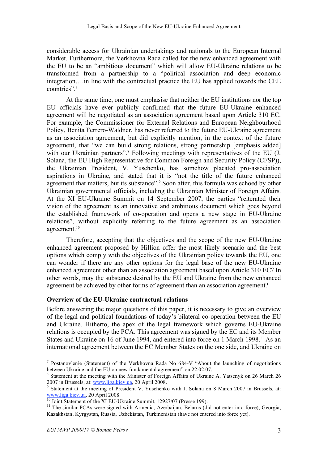considerable access for Ukrainian undertakings and nationals to the European Internal Market. Furthermore, the Verkhovna Rada called for the new enhanced agreement with the EU to be an "ambitious document" which will allow EU-Ukraine relations to be transformed from a partnership to a "political association and deep economic integration….in line with the contractual practice the EU has applied towards the CEE countries". 7

At the same time, one must emphasise that neither the EU institutions nor the top EU officials have ever publicly confirmed that the future EU-Ukraine enhanced agreement will be negotiated as an association agreement based upon Article 310 EC. For example, the Commissioner for External Relations and European Neighbourhood Policy, Benita Ferrero-Waldner, has never referred to the future EU-Ukraine agreement as an association agreement, but did explicitly mention, in the context of the future agreement, that "we can build strong relations, strong partnership [emphasis added] with our Ukrainian partners".<sup>8</sup> Following meetings with representatives of the EU (J. Solana, the EU High Representative for Common Foreign and Security Policy (CFSP)), the Ukrainian President, V. Yuschenko, has somehow placated pro-association aspirations in Ukraine, and stated that it is "not the title of the future enhanced agreement that matters, but its substance". <sup>9</sup> Soon after, this formula was echoed by other Ukrainian governmental officials, including the Ukrainian Minister of Foreign Affairs. At the XI EU-Ukraine Summit on 14 September 2007, the parties "reiterated their vision of the agreement as an innovative and ambitious document which goes beyond the established framework of co-operation and opens a new stage in EU-Ukraine relations", without explicitly referring to the future agreement as an association agreement. 10

Therefore, accepting that the objectives and the scope of the new EU-Ukraine enhanced agreement proposed by Hillion offer the most likely scenario and the best options which comply with the objectives of the Ukrainian policy towards the EU, one can wonder if there are any other options for the legal base of the new EU-Ukraine enhanced agreement other than an association agreement based upon Article 310 EC? In other words, may the substance desired by the EU and Ukraine from the new enhanced agreement be achieved by other forms of agreement than an association agreement?

# **Overview of the EU-Ukraine contractual relations**

Before answering the major questions of this paper, it is necessary to give an overview of the legal and political foundations of today's bilateral co-operation between the EU and Ukraine. Hitherto, the apex of the legal framework which governs EU-Ukraine relations is occupied by the PCA. This agreement was signed by the EC and its Member States and Ukraine on 16 of June 1994, and entered into force on 1 March 1998.<sup>11</sup> As an international agreement between the EC Member States on the one side, and Ukraine on

 <sup>7</sup> Postanovlenie (Statement) of the Verkhovna Rada No 684-V "About the launching of negotiations between Ukraine and the EU on new fundamental agreement" on 22.02.07.<br><sup>8</sup> Statement at the meeting with the Minister of Foreign Affairs of Ukraine A. Yatsenyk on 26 March 26

<sup>2007</sup> in Brussels, at: www.liga.kiev.ua, 20 April 2008.<br><sup>9</sup> Statement at the meeting of President V. Yuschenko with J. Solana on 8 March 2007 in Brussels, at:<br>www.liga.kiev.ua, 20 April 2008.

 $\frac{10}{10}$  Joint Statement of the XI EU-Ukraine Summit, 12927/07 (Presse 199).<br><sup>11</sup> The similar PCAs were signed with Armenia, Azerbaijan, Belarus (did not enter into force), Georgia, Kazakhstan, Kyrgystan, Russia, Uzbekistan, Turkmenistan (have not entered into force yet).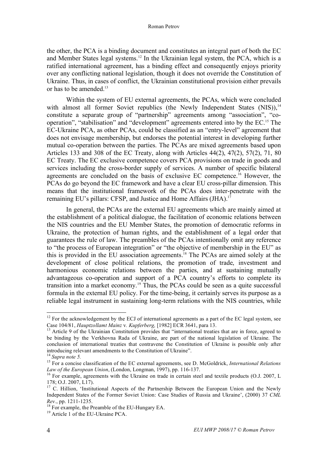the other, the PCA is a binding document and constitutes an integral part of both the EC and Member States legal systems. <sup>12</sup> In the Ukrainian legal system, the PCA, which is a ratified international agreement, has a binding effect and consequently enjoys priority over any conflicting national legislation, though it does not override the Constitution of Ukraine. Thus, in cases of conflict, the Ukrainian constitutional provision either prevails or has to be amended  $13$ 

Within the system of EU external agreements, the PCAs, which were concluded with almost all former Soviet republics (the Newly Independent States (NIS)),<sup>14</sup> constitute a separate group of "partnership" agreements among "association", "cooperation", "stabilisation" and "development" agreements entered into by the EC. <sup>15</sup> The EC-Ukraine PCA, as other PCAs, could be classified as an "entry-level" agreement that does not envisage membership, but endorses the potential interest in developing further mutual co-operation between the parties. The PCAs are mixed agreements based upon Articles 133 and 308 of the EC Treaty, along with Articles 44(2), 47(2), 57(2), 71, 80 EC Treaty. The EC exclusive competence covers PCA provisions on trade in goods and services including the cross-border supply of services. A number of specific bilateral agreements are concluded on the basis of exclusive EC competence. <sup>16</sup> However, the PCAs do go beyond the EC framework and have a clear EU cross-pillar dimension. This means that the institutional framework of the PCAs does inter-penetrate with the remaining EU's pillars: CFSP, and Justice and Home Affairs (JHA).<sup>17</sup>

In general, the PCAs are the external EU agreements which are mainly aimed at the establishment of a political dialogue, the facilitation of economic relations between the NIS countries and the EU Member States, the promotion of democratic reforms in Ukraine, the protection of human rights, and the establishment of a legal order that guarantees the rule of law. The preambles of the PCAs intentionally omit any reference to "the process of European integration" or "the objective of membership in the EU" as this is provided in the EU association agreements. <sup>18</sup> The PCAs are aimed solely at the development of close political relations, the promotion of trade, investment and harmonious economic relations between the parties, and at sustaining mutually advantageous co-operation and support of a PCA country's efforts to complete its transition into a market economy.19 Thus, the PCAs could be seen as a quite successful formula in the external EU policy. For the time-being, it certainly serves its purpose as a reliable legal instrument in sustaining long-term relations with the NIS countries, while

 $12$  For the acknowledgement by the ECJ of international agreements as a part of the EC legal system, see Case 104/81, *Hauptzollamt Mainz* v. *Kupferberg*, [1982] ECR 3641, para 13.<br><sup>13</sup> Article 9 of the Ukrainian Constitution provides that "international treaties that are in force, agreed to

be binding by the Verkhovna Rada of Ukraine, are part of the national legislation of Ukraine. The conclusion of international treaties that contravene the Constitution of Ukraine is possible only after introducing relevant amendments to the Constitution of Ukraine". <sup>14</sup> *Supra note 5.* <sup>15</sup> For <sup>a</sup> concise classification of the EC external agreements, see D. McGoldrick, *International Relations*

*Law of the European Union*, (London, Longman, 1997), pp. 116-137.<br><sup>16</sup> For example, agreements with the Ukraine on trade in certain steel and textile products (O.J. 2007, L<br>178; O.J. 2007, L17).

 $17$  C. Hillion, 'Institutional Aspects of the Partnership Between the European Union and the Newly Independent States of the Former Soviet Union: Case Studies of Russia and Ukraine', (2000) 37 *CML Rev.*, pp. 1211-1235.<br><sup>18</sup> For example, the Preamble of the EU-Hungary EA.<br><sup>19</sup> Article 1 of the EU-Ukraine PCA.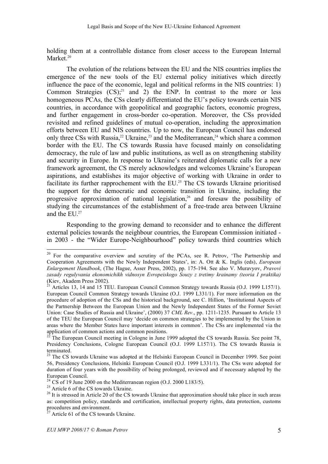holding them at a controllable distance from closer access to the European Internal Market. 20

The evolution of the relations between the EU and the NIS countries implies the emergence of the new tools of the EU external policy initiatives which directly influence the pace of the economic, legal and political reforms in the NIS countries: 1) Common Strategies  $(CS)$ <sup>21</sup> and 2) the ENP. In contrast to the more or less homogeneous PCAs, the CSs clearly differentiated the EU's policy towards certain NIS countries, in accordance with geopolitical and geographic factors, economic progress, and further engagement in cross-border co-operation. Moreover, the CSs provided revisited and refined guidelines of mutual co-operation, including the approximation efforts between EU and NIS countries. Up to now, the European Council has endorsed only three CSs with Russia,<sup>22</sup> Ukraine,<sup>23</sup> and the Mediterranean,<sup>24</sup> which share a common border with the EU. The CS towards Russia have focused mainly on consolidating democracy, the rule of law and public institutions, as well as on strengthening stability and security in Europe. In response to Ukraine's reiterated diplomatic calls for a new framework agreement, the CS merely acknowledges and welcomes Ukraine's European aspirations, and establishes its major objective of working with Ukraine in order to facilitate its further rapprochement with the EU.<sup>25</sup> The CS towards Ukraine prioritised the support for the democratic and economic transition in Ukraine, including the progressive approximation of national legislation,<sup>26</sup> and foresaw the possibility of studying the circumstances of the establishment of a free-trade area between Ukraine and the EU. 27

Responding to the growing demand to reconsider and to enhance the different external policies towards the neighbour countries, the European Commission initiated in 2003 - the "Wider Europe-Neighbourhood" policy towards third countries which

<sup>&</sup>lt;sup>20</sup> For the comparative overview and scrutiny of the PCAs, see R. Petrov, 'The Partnership and Cooperation Agreements with the Newly Independent States', in: A. Ott & K. Inglis (eds), *European Enlargement Handbook*, (The Hague, Asser Press, 2002), pp. 175-194. See also V. Muravyov, *Pravovi zasady regulyvania ekonomichikh vidnosyn Evropeiskogo Souzy z tretimy krainamy (teoria I praktika)* (Kiev, Akadem Press 2002). <sup>21</sup> Articles 13, <sup>14</sup> and <sup>15</sup> TEU. European Council Common Strategy towards Russia (O.J. <sup>1999</sup> L157/1).

European Council Common Strategy towards Ukraine (O.J. 1999 L331/1). For more information on the procedure of adoption of the CSs and the historical background, see C. Hillion, 'Institutional Aspects of the Partnership Between the European Union and the Newly Independent States of the Former Soviet Union: Case Studies of Russia and Ukraine', (2000) 37 *CML Rev*., pp. 1211-1235. Pursuant to Article 13 of the TEU the European Council may 'decide on common strategies to be implemented by the Union in areas where the Member States have important interests in common'. The CSs are implemented via the application of common actions and common positions.

The European Council meeting in Cologne in June 1999 adopted the CS towards Russia. See point 78, Presidency Conclusions, Cologne European Council (O.J. 1999 L157/1). The CS towards Russia is terminated.<br><sup>23</sup> The CS towards Ukraine was adopted at the Helsinki European Council in December 1999. See point

<sup>56,</sup> Presidency Conclusions, Helsinki European Council (O.J. 1999 L331/1). The CSs were adopted for duration of four years with the possibility of being prolonged, reviewed and if necessary adapted by the European Council.<br>
<sup>24</sup> CS of 19 June 2000 on the Mediterranean region (O.J. 2000 L183/5).<br>
<sup>25</sup> Article 6 of the CS towards Ukraine.<br>
<sup>26</sup> It is stressed in Article 20 of the CS towards Ukraine that approximation should

as: competition policy, standards and certification, intellectual property rights, data protection, customs procedures and environment.<br><sup>27</sup> Article 61 of the CS towards Ukraine.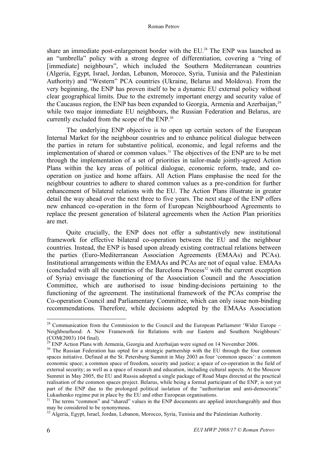share an immediate post-enlargement border with the EU. <sup>28</sup> The ENP was launched as an "umbrella" policy with a strong degree of differentiation, covering a "ring of [immediate] neighbours", which included the Southern Mediterranean countries (Algeria, Egypt, Israel, Jordan, Lebanon, Morocco, Syria, Tunisia and the Palestinian Authority) and "Western" PCA countries (Ukraine, Belarus and Moldova). From the very beginning, the ENP has proven itself to be a dynamic EU external policy without clear geographical limits. Due to the extremely important energy and security value of the Caucasus region, the ENP has been expanded to Georgia, Armenia and Azerbaijan, <sup>29</sup> while two major immediate EU neighbours, the Russian Federation and Belarus, are currently excluded from the scope of the ENP.<sup>30</sup>

The underlying ENP objective is to open up certain sectors of the European Internal Market for the neighbour countries and to enhance political dialogue between the parties in return for substantive political, economic, and legal reforms and the implementation of shared or common values. <sup>31</sup> The objectives of the ENP are to be met through the implementation of a set of priorities in tailor-made jointly-agreed Action Plans within the key areas of political dialogue, economic reform, trade, and cooperation on justice and home affairs. All Action Plans emphasise the need for the neighbour countries to adhere to shared common values as a pre-condition for further enhancement of bilateral relations with the EU. The Action Plans illustrate in greater detail the way ahead over the next three to five years. The next stage of the ENP offers new enhanced co-operation in the form of European Neighbourhood Agreements to replace the present generation of bilateral agreements when the Action Plan priorities are met.

Quite crucially, the ENP does not offer a substantively new institutional framework for effective bilateral co-operation between the EU and the neighbour countries. Instead, the ENP is based upon already existing contractual relations between the parties (Euro-Mediterranean Association Agreements (EMAAs) and PCAs). Institutional arrangements within the EMAAs and PCAs are not of equal value. EMAAs  $\alpha$  (concluded with all the countries of the Barcelona Process<sup>32</sup> with the current exception of Syria) envisage the functioning of the Association Council and the Association Committee, which are authorised to issue binding-decisions pertaining to the functioning of the agreement. The institutional framework of the PCAs comprise the Co-operation Council and Parliamentary Committee, which can only issue non-binding recommendations. Therefore, while decisions adopted by the EMAAs Association

<sup>&</sup>lt;sup>28</sup> Communication from the Commission to the Council and the European Parliament 'Wider Europe – Neighbourhood: A New Framework for Relations with our Eastern and Southern Neighbours' (COM(2003) 104 final). <sup>29</sup> ENP Action Plans with Armenia, Georgia and Azerbaijan were signed on 14 November 2006.<br><sup>30</sup> The Russian Federation has opted for a strategic partnership with the EU through the four common

spaces initiative. Defined at the St. Petersburg Summit in May 2003 as four 'common spaces': a common economic space; a common space of freedom, security and justice; a space of co-operation in the field of external security; as well as a space of research and education, including cultural aspects. At the Moscow Summit in May 2005, the EU and Russia adopted a single package of Road Maps directed at the practical realisation of the common spaces project. Belarus, while being a formal participant of the ENP, is not yet part of the ENP due to the prolonged political isolation of the "authoritarian and anti-democratic"<br>Lukashenko regime put in place by the EU and other European organisations.

 $31$  The terms "common" and "shared" values in the ENP documents are applied interchangeably and thus may be considered to be synonymous.

 $^{32}$  Algeria, Egypt, Israel, Jordan, Lebanon, Morocco, Syria, Tunisia and the Palestinian Authority.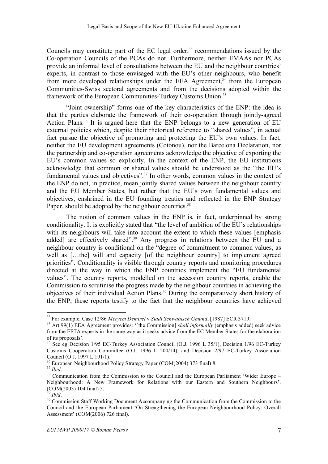Councils may constitute part of the EC legal order, <sup>33</sup> recommendations issued by the Co-operation Councils of the PCAs do not. Furthermore, neither EMAAs nor PCAs provide an informal level of consultations between the EU and the neighbour countries' experts, in contrast to those envisaged with the EU's other neighbours, who benefit from more developed relationships under the EEA Agreement,<sup>34</sup> from the European Communities-Swiss sectoral agreements and from the decisions adopted within the framework of the European Communities-Turkey Customs Union.<sup>35</sup>

"Joint ownership" forms one of the key characteristics of the ENP: the idea is that the parties elaborate the framework of their co-operation through jointly-agreed Action Plans. <sup>36</sup> It is argued here that the ENP belongs to a new generation of EU external policies which, despite their rhetorical reference to "shared values", in actual fact pursue the objective of promoting and protecting the EU's own values. In fact, neither the EU development agreements (Cotonou), nor the Barcelona Declaration, nor the partnership and co-operation agreements acknowledge the objective of exporting the EU's common values so explicitly. In the context of the ENP, the EU institutions acknowledge that common or shared values should be understood as the "the EU's fundamental values and objectives".<sup>37</sup> In other words, common values in the context of the ENP do not, in practice, mean jointly shared values between the neighbour country and the EU Member States, but rather that the EU's own fundamental values and objectives, enshrined in the EU founding treaties and reflected in the ENP Strategy Paper, should be adopted by the neighbour countries.<sup>38</sup>

The notion of common values in the ENP is, in fact, underpinned by strong conditionality. It is explicitly stated that "the level of ambition of the EU's relationships with its neighbours will take into account the extent to which these values [emphasis added] are effectively shared". <sup>39</sup> Any progress in relations between the EU and a neighbour country is conditional on the "degree of commitment to common values, as well as […the] will and capacity [of the neighbour country] to implement agreed priorities". Conditionality is visible through country reports and monitoring procedures directed at the way in which the ENP countries implement the "EU fundamental values". The country reports, modelled on the accession country reports, enable the Commission to scrutinise the progress made by the neighbour countries in achieving the objectives of their individual Action Plans. <sup>40</sup> During the comparatively short history of the ENP, these reports testify to the fact that the neighbour countries have achieved

<sup>&</sup>lt;sup>33</sup> For example, Case 12/86 Meryem Demirel v Stadt Schwabisch Gmund, [1987] ECR 3719.<br><sup>34</sup> Art 99(1) EEA Agreement provides: '[the Commission] shall informally (emphasis added) seek advice from the EFTA experts in the same way as it seeks advice from the EC Member States for the elaboration of its proposals'.

<sup>&</sup>lt;sup>35</sup> See eg Decision 1/95 EC-Turkey Association Council (O.J. 1996 L 35/1), Decision 1/96 EC-Turkey Customs Cooperation Committee (O.J. 1996 L 200/14), and Decision 2/97 EC-Turkey Association

Council (O.J. 1997 L 191/1).<br><sup>36</sup> European Neighbourhood Policy Strategy Paper (COM(2004) 373 final) 8.<br><sup>37</sup> *Ibid*.<br><sup>38</sup> Communication from the Commission to the Council and the European Parliament 'Wider Europe – Neighbourhood: A New Framework for Relations with our Eastern and Southern Neighbours'. (COM(2003) 104 final) 5.<br><sup>39</sup> *Ibid.* 

<sup>&</sup>lt;sup>40</sup> Commission Staff Working Document Accompanying the Communication from the Commission to the Council and the European Parliament 'On Strengthening the European Neighbourhood Policy: Overall Assessment' (COM(2006) 726 final).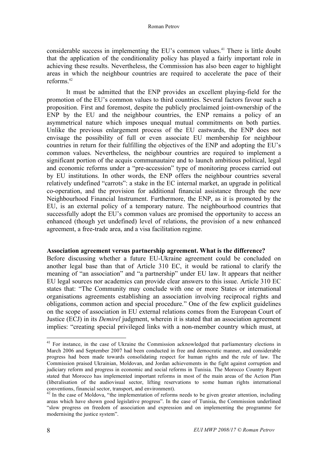considerable success in implementing the EU's common values. <sup>41</sup> There is little doubt that the application of the conditionality policy has played a fairly important role in achieving these results. Nevertheless, the Commission has also been eager to highlight areas in which the neighbour countries are required to accelerate the pace of their reforms. 42

It must be admitted that the ENP provides an excellent playing-field for the promotion of the EU's common values to third countries. Several factors favour such a proposition. First and foremost, despite the publicly proclaimed joint-ownership of the ENP by the EU and the neighbour countries, the ENP remains a policy of an asymmetrical nature which imposes unequal mutual commitments on both parties. Unlike the previous enlargement process of the EU eastwards, the ENP does not envisage the possibility of full or even associate EU membership for neighbour countries in return for their fulfilling the objectives of the ENP and adopting the EU's common values. Nevertheless, the neighbour countries are required to implement a significant portion of the acquis communautaire and to launch ambitious political, legal and economic reforms under a "pre-accession" type of monitoring process carried out by EU institutions. In other words, the ENP offers the neighbour countries several relatively undefined "carrots": a stake in the EC internal market, an upgrade in political co-operation, and the provision for additional financial assistance through the new Neighbourhood Financial Instrument. Furthermore, the ENP, as it is promoted by the EU, is an external policy of a temporary nature. The neighbourhood countries that successfully adopt the EU's common values are promised the opportunity to access an enhanced (though yet undefined) level of relations, the provision of a new enhanced agreement, a free-trade area, and a visa facilitation regime.

#### **Association agreement versus partnership agreement. What is the difference?**

Before discussing whether a future EU-Ukraine agreement could be concluded on another legal base than that of Article 310 EC, it would be rational to clarify the meaning of "an association" and "a partnership" under EU law. It appears that neither EU legal sources nor academics can provide clear answers to this issue. Article 310 EC states that: "The Community may conclude with one or more States or international organisations agreements establishing an association involving reciprocal rights and obligations, common action and special procedure." One of the few explicit guidelines on the scope of association in EU external relations comes from the European Court of Justice (ECJ) in its *Demirel* judgment, wherein it is stated that an association agreement implies: "creating special privileged links with a non-member country which must, at

<sup>&</sup>lt;sup>41</sup> For instance, in the case of Ukraine the Commission acknowledged that parliamentary elections in March 2006 and September 2007 had been conducted in free and democratic manner, and considerable progress had been made towards consolidating respect for human rights and the rule of law. The Commission praised Ukrainian, Moldovan, and Jordan achievements in the fight against corruption and judiciary reform and progress in economic and social reforms in Tunisia. The Morocco Country Report stated that Morocco has implemented important reforms in most of the main areas of the Action Plan (liberalisation of the audiovisual sector, lifting reservations to some human rights international conventions, financial sector, transport, and environment).

 $42$  In the case of Moldova, "the implementation of reforms needs to be given greater attention, including areas which have shown good legislative progress". In the case of Tunisia, the Commission underlined "slow progress on freedom of association and expression and on implementing the programme for modernising the justice system".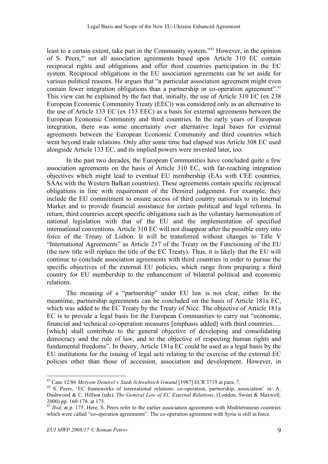least to a certain extent, take part in the Community system."43 However, in the opinion of S. Peers, <sup>44</sup> not all association agreements based upon Article 310 EC contain reciprocal rights and obligations and offer third countries participation in the EC system. Reciprocal obligations in the EU association agreements can be set aside for various political reasons. He argues that "a particular association agreement might even contain fewer integration obligations than a partnership or co-operation agreement".<sup>45</sup> This view can be explained by the fact that, initially, the use of Article 310 EC (ex 238 European Economic Community Treaty (EEC)) was considered only as an alternative to the use of Article 133 EC (ex 113 EEC) as a basis for external agreements between the European Economic Community and third countries. In the early years of European integration, there was some uncertainty over alternative legal bases for external agreements between the European Economic Community and third countries which went beyond trade relations. Only after some time had elapsed was Article 308 EC used alongside Article 133 EC, and its implied powers were invented later, too.

In the past two decades, the European Communities have concluded quite a few association agreements on the basis of Article 310 EC, with far-reaching integration objectives which might lead to eventual EU membership (EAs with CEE countries, SAAs with the Western Balkan countries). These agreements contain specific reciprocal obligations in line with requirement of the Demirel judgement. For example, they include the EU commitment to ensure access of third country nationals to its Internal Market and to provide financial assistance for certain political and legal reforms. In return, third countries accept specific obligations such as the voluntary harmonisation of national legislation with that of the EU and the implementation of specified international conventions. Article 310 EC will not disappear after the possible entry into force of the Treaty of Lisbon. It will be transferred without changes to Title V "International Agreements" as Article 217 of the Treaty on the Functioning of the EU (the new title will replace the title of the EC Treaty). Thus, it is likely that the EU will continue to conclude association agreements with third countries in order to pursue the specific objectives of the external EU policies, which range from preparing a third country for EU membership to the enhancement of bilateral political and economic relations.

The meaning of a "partnership" under EU law is not clear, either. In the meantime, partnership agreements can be concluded on the basis of Article 181a EC, which was added to the EC Treaty by the Treaty of Nice. The objective of Article 181a EC is to provide a legal basis for the European Communities to carry out "economic, financial and technical co-operation measures [emphasis added] with third countries…. [which] shall contribute to the general objective of developing and consolidating democracy and the rule of law, and to the objective of respecting human rights and fundamental freedoms". In theory, Article 181a EC could be used as a legal basis by the EU institutions for the issuing of legal acts relating to the exercise of the external EC policies other than those of accession, association and development. However, in

<sup>&</sup>lt;sup>43</sup> Case 12/86 *Meryem Demirel* v *Stadt Schwabisch Gmund* [1987] ECR 3719 at para. 7.<br><sup>44</sup> S. Peers, 'EC frameworks of international relations: co-operation, partnership, association' in: A. Dashwood & C. Hillion (eds), *The General Law of EC External Relations*, (London, Sweet & Maxwell, 2000) pp. 160-178. at 175. <sup>45</sup> *Ibid,* at p. 175. Here, S. Peers refer to the earlier association agreements with Mediterranean countries

which were called "co-operation agreements". The co-operation agreement with Syria is still in force.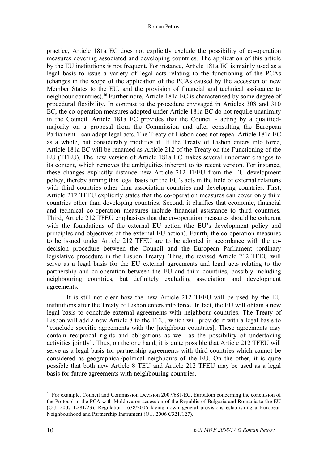practice, Article 181a EC does not explicitly exclude the possibility of co-operation measures covering associated and developing countries. The application of this article by the EU institutions is not frequent. For instance, Article 181a EC is mainly used as a legal basis to issue a variety of legal acts relating to the functioning of the PCAs (changes in the scope of the application of the PCAs caused by the accession of new Member States to the EU, and the provision of financial and technical assistance to neighbour countries). <sup>46</sup> Furthermore, Article 181a EC is characterised by some degree of procedural flexibility. In contrast to the procedure envisaged in Articles 308 and 310 EC, the co-operation measures adopted under Article 181a EC do not require unanimity in the Council. Article 181a EC provides that the Council - acting by a qualifiedmajority on a proposal from the Commission and after consulting the European Parliament - can adopt legal acts. The Treaty of Lisbon does not repeal Article 181a EC as a whole, but considerably modifies it. If the Treaty of Lisbon enters into force, Article 181a EC will be renamed as Article 212 of the Treaty on the Functioning of the EU (TFEU). The new version of Article 181a EC makes several important changes to its content, which removes the ambiguities inherent to its recent version. For instance, these changes explicitly distance new Article 212 TFEU from the EU development policy, thereby aiming this legal basis for the EU's acts in the field of external relations with third countries other than association countries and developing countries. First, Article 212 TFEU explicitly states that the co-operation measures can cover only third countries other than developing countries. Second, it clarifies that economic, financial and technical co-operation measures include financial assistance to third countries. Third, Article 212 TFEU emphasises that the co-operation measures should be coherent with the foundations of the external EU action (the EU's development policy and principles and objectives of the external EU action). Fourth, the co-operation measures to be issued under Article 212 TFEU are to be adopted in accordance with the codecision procedure between the Council and the European Parliament (ordinary legislative procedure in the Lisbon Treaty). Thus, the revised Article 212 TFEU will serve as a legal basis for the EU external agreements and legal acts relating to the partnership and co-operation between the EU and third countries, possibly including neighbouring countries, but definitely excluding association and development agreements.

It is still not clear how the new Article 212 TFEU will be used by the EU institutions after the Treaty of Lisbon enters into force. In fact, the EU will obtain a new legal basis to conclude external agreements with neighbour countries. The Treaty of Lisbon will add a new Article 8 to the TEU, which will provide it with a legal basis to "conclude specific agreements with the [neighbour countries]. These agreements may contain reciprocal rights and obligations as well as the possibility of undertaking activities jointly". Thus, on the one hand, it is quite possible that Article 212 TFEU will serve as a legal basis for partnership agreements with third countries which cannot be considered as geographical/political neighbours of the EU. On the other, it is quite possible that both new Article 8 TEU and Article 212 TFEU may be used as a legal basis for future agreements with neighbouring countries.

 <sup>46</sup> For example, Council and Commission Decision 2007/681/EC, Euroatom concerning the conclusion of the Protocol to the PCA with Moldova on accession of the Republic of Bulgaria and Romania to the EU (O.J. 2007 L281/23). Regulation 1638/2006 laying down general provisions establishing a European Neighbourhood and Partnership Instrument (O.J. 2006 C321/127).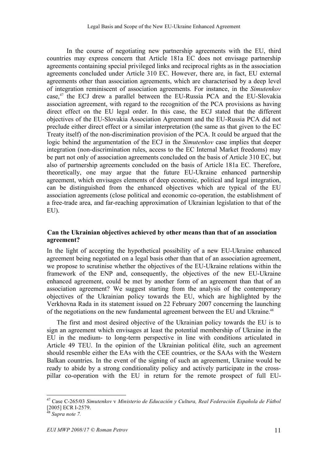In the course of negotiating new partnership agreements with the EU, third countries may express concern that Article 181a EC does not envisage partnership agreements containing special privileged links and reciprocal rights as in the association agreements concluded under Article 310 EC. However, there are, in fact, EU external agreements other than association agreements, which are characterised by a deep level of integration reminiscent of association agreements. For instance, in the *Simutenkov* case,<sup>47</sup> the ECJ drew a parallel between the EU-Russia PCA and the EU-Slovakia association agreement, with regard to the recognition of the PCA provisions as having direct effect on the EU legal order. In this case, the ECJ stated that the different objectives of the EU-Slovakia Association Agreement and the EU-Russia PCA did not preclude either direct effect or a similar interpretation (the same as that given to the EC Treaty itself) of the non-discrimination provision of the PCA. It could be argued that the logic behind the argumentation of the ECJ in the *Simutenkov* case implies that deeper integration (non-discrimination rules, access to the EC Internal Market freedoms) may be part not only of association agreements concluded on the basis of Article 310 EC, but also of partnership agreements concluded on the basis of Article 181a EC. Therefore, theoretically, one may argue that the future EU-Ukraine enhanced partnership agreement, which envisages elements of deep economic, political and legal integration, can be distinguished from the enhanced objectives which are typical of the EU association agreements (close political and economic co-operation, the establishment of a free-trade area, and far-reaching approximation of Ukrainian legislation to that of the EU).

# **Can the Ukrainian objectives achieved by other means than that of an association agreement?**

In the light of accepting the hypothetical possibility of a new EU-Ukraine enhanced agreement being negotiated on a legal basis other than that of an association agreement, we propose to scrutinise whether the objectives of the EU-Ukraine relations within the framework of the ENP and, consequently, the objectives of the new EU-Ukraine enhanced agreement, could be met by another form of an agreement than that of an association agreement? We suggest starting from the analysis of the contemporary objectives of the Ukrainian policy towards the EU, which are highlighted by the Verkhovna Rada in its statement issued on 22 February 2007 concerning the launching of the negotiations on the new fundamental agreement between the EU and Ukraine.<sup>48</sup>

The first and most desired objective of the Ukrainian policy towards the EU is to sign an agreement which envisages at least the potential membership of Ukraine in the EU in the medium- to long-term perspective in line with conditions articulated in Article 49 TEU. In the opinion of the Ukrainian political élite, such an agreement should resemble either the EAs with the CEE countries, or the SAAs with the Western Balkan countries. In the event of the signing of such an agreement, Ukraine would be ready to abide by a strong conditionality policy and actively participate in the crosspillar co-operation with the EU in return for the remote prospect of full EU-

 <sup>47</sup> Case C-265/03 *Simutenkov* <sup>v</sup> *Ministerio de Educación <sup>y</sup> Cultura, Real Federación Española de Fútbol* [2005] ECR I-2579. <sup>48</sup> *Supra note 7.*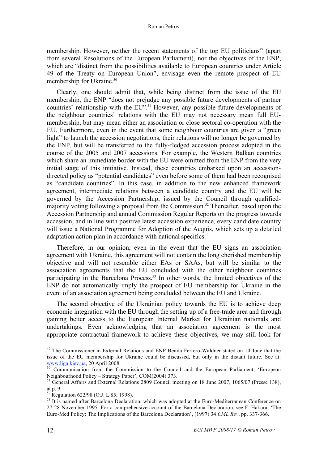#### Roman Petrov

membership. However, neither the recent statements of the top EU politicians<sup>49</sup> (apart from several Resolutions of the European Parliament), nor the objectives of the ENP, which are "distinct from the possibilities available to European countries under Article 49 of the Treaty on European Union", envisage even the remote prospect of EU membership for Ukraine. 50

Clearly, one should admit that, while being distinct from the issue of the EU membership, the ENP "does not prejudge any possible future developments of partner countries' relationship with the EU". <sup>51</sup> However, any possible future developments of the neighbour countries' relations with the EU may not necessary mean full EUmembership, but may mean either an association or close sectoral co-operation with the EU. Furthermore, even in the event that some neighbour countries are given a "green light" to launch the accession negotiations, their relations will no longer be governed by the ENP, but will be transferred to the fully-fledged accession process adopted in the course of the 2005 and 2007 accessions. For example, the Western Balkan countries which share an immediate border with the EU were omitted from the ENP from the very initial stage of this initiative. Instead, these countries embarked upon an accessiondirected policy as "potential candidates" even before some of them had been recognised as "candidate countries". In this case, in addition to the new enhanced framework agreement, intermediate relations between a candidate country and the EU will be governed by the Accession Partnership, issued by the Council through qualifiedmajority voting following a proposal from the Commission.<sup>52</sup> Thereafter, based upon the Accession Partnership and annual Commission Regular Reports on the progress towards accession, and in line with positive latest accession experience, every candidate country will issue a National Programme for Adoption of the Acquis, which sets up a detailed adaptation action plan in accordance with national specifics.

Therefore, in our opinion, even in the event that the EU signs an association agreement with Ukraine, this agreement will not contain the long cherished membership objective and will not resemble either EAs or SAAs, but will be similar to the association agreements that the EU concluded with the other neighbour countries participating in the Barcelona Process. <sup>53</sup> In other words, the limited objectives of the ENP do not automatically imply the prospect of EU membership for Ukraine in the event of an association agreement being concluded between the EU and Ukraine.

The second objective of the Ukrainian policy towards the EU is to achieve deep economic integration with the EU through the setting up of a free-trade area and through gaining better access to the European Internal Market for Ukrainian nationals and undertakings. Even acknowledging that an association agreement is the most appropriate contractual framework to achieve these objectives, we may still look for

<sup>&</sup>lt;sup>49</sup> The Commissioner in External Relations and ENP Benita Ferrero-Waldner stated on 14 June that the issue of the EU membership for Ukraine could be discussed, but only in the distant future. See at: www.liga.kiev.ua, 20 April 2008.<br><sup>50</sup> Communication from the Commission to the Council and the European Parliament, 'European

Neighbourhood Policy – Strategy Paper', COM(2004) 373.<br><sup>51</sup> General Affairs and External Relations 2809 Council meeting on 18 June 2007, 1065/07 (Presse 138), at p. 9.

 $\frac{52}{13}$  Regulation 622/98 (O.J. L 85, 1998).<br><sup>53</sup> It is named after Barcelona Declaration, which was adopted at the Euro-Mediterranean Conference on 27-28 November 1995. For a comprehensive account of the Barcelona Declaration, see F. Hakura, 'The Euro-Med Policy: The Implications of the Barcelona Declaration', (1997) 34 *CML Rev*, pp. 337-366.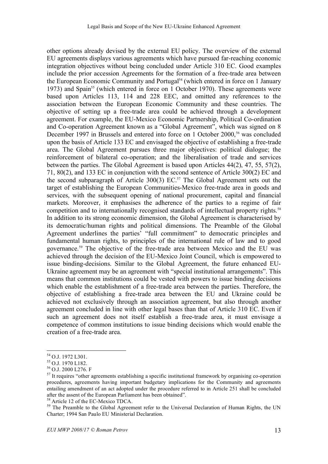other options already devised by the external EU policy. The overview of the external EU agreements displays various agreements which have pursued far-reaching economic integration objectives without being concluded under Article 310 EC. Good examples include the prior accession Agreements for the formation of a free-trade area between the European Economic Community and Portugal <sup>54</sup> (which entered in force on 1 January 1973) and Spain<sup>55</sup> (which entered in force on 1 October 1970). These agreements were based upon Articles 113, 114 and 228 EEC, and omitted any references to the association between the European Economic Community and these countries. The objective of setting up a free-trade area could be achieved through a development agreement. For example, the EU-Mexico Economic Partnership, Political Co-ordination and Co-operation Agreement known as a "Global Agreement", which was signed on 8 December 1997 in Brussels and entered into force on 1 October 2000,<sup>56</sup> was concluded upon the basis of Article 133 EC and envisaged the objective of establishing a free-trade area. The Global Agreement pursues three major objectives: political dialogue; the reinforcement of bilateral co-operation; and the liberalisation of trade and services between the parties. The Global Agreement is based upon Articles 44(2), 47, 55, 57(2), 71, 80(2), and 133 EC in conjunction with the second sentence of Article 300(2) EC and the second subparagraph of Article 300(3) EC. <sup>57</sup> The Global Agreement sets out the target of establishing the European Communities-Mexico free-trade area in goods and services, with the subsequent opening of national procurement, capital and financial markets. Moreover, it emphasises the adherence of the parties to a regime of fair competition and to internationally recognised standards of intellectual property rights.<sup>58</sup> In addition to its strong economic dimension, the Global Agreement is characterised by its democratic/human rights and political dimensions. The Preamble of the Global Agreement underlines the parties' "full commitment" to democratic principles and fundamental human rights, to principles of the international rule of law and to good governance. <sup>59</sup> The objective of the free-trade area between Mexico and the EU was achieved through the decision of the EU-Mexico Joint Council, which is empowered to issue binding-decisions. Similar to the Global Agreement, the future enhanced EU-Ukraine agreement may be an agreement with "special institutional arrangements". This means that common institutions could be vested with powers to issue binding decisions which enable the establishment of a free-trade area between the parties. Therefore, the objective of establishing a free-trade area between the EU and Ukraine could be achieved not exclusively through an association agreement, but also through another agreement concluded in line with other legal bases than that of Article 310 EC. Even if such an agreement does not itself establish a free-trade area, it must envisage a competence of common institutions to issue binding decisions which would enable the creation of a free-trade area.

<sup>&</sup>lt;sup>54</sup> O.J. 1972 L301.<br><sup>55</sup> O.J. 1970 L182.<br><sup>56</sup> O.J. 2000 L276. F<br><sup>57</sup> It requires "other agreements establishing a specific institutional framework by organising co-operation procedures, agreements having important budgetary implications for the Community and agreements entailing amendment of an act adopted under the procedure referred to in Article 251 shall be concluded after the assent of the European Parliament has been obtained".

<sup>&</sup>lt;sup>58</sup> Article 12 of the EC-Mexico TDCA.<br><sup>59</sup> The Preamble to the Global Agreement refer to the Universal Declaration of Human Rights, the UN Charter; 1994 San Paulo EU Ministerial Declaration.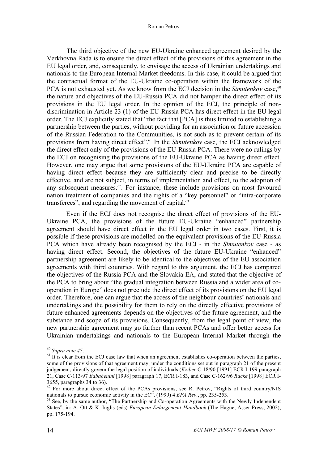The third objective of the new EU-Ukraine enhanced agreement desired by the Verkhovna Rada is to ensure the direct effect of the provisions of this agreement in the EU legal order, and, consequently, to envisage the access of Ukrainian undertakings and nationals to the European Internal Market freedoms. In this case, it could be argued that the contractual format of the EU-Ukraine co-operation within the framework of the PCA is not exhausted yet. As we know from the ECJ decision in the *Simutenkov* case,<sup>60</sup> the nature and objectives of the EU-Russia PCA did not hamper the direct effect of its provisions in the EU legal order. In the opinion of the ECJ, the principle of nondiscrimination in Article 23 (1) of the EU-Russia PCA has direct effect in the EU legal order. The ECJ explicitly stated that "the fact that [PCA] is thus limited to establishing a partnership between the parties, without providing for an association or future accession of the Russian Federation to the Communities, is not such as to prevent certain of its provisions from having direct effect". <sup>61</sup> In the *Simutenkov* case, the ECJ acknowledged the direct effect only of the provisions of the EU-Russia PCA. There were no rulings by the ECJ on recognising the provisions of the EU-Ukraine PCA as having direct effect. However, one may argue that some provisions of the EU-Ukraine PCA are capable of having direct effect because they are sufficiently clear and precise to be directly effective, and are not subject, in terms of implementation and effect, to the adoption of any subsequent measures. 62 . For instance, these include provisions on most favoured nation treatment of companies and the rights of a "key personnel" or "intra-corporate transferees", and regarding the movement of capital.<sup>63</sup>

Even if the ECJ does not recognise the direct effect of provisions of the EU-Ukraine PCA, the provisions of the future EU-Ukraine "enhanced" partnership agreement should have direct effect in the EU legal order in two cases. First, it is possible if these provisions are modelled on the equivalent provisions of the EU-Russia PCA which have already been recognised by the ECJ - in the *Simutenkov* case - as having direct effect. Second, the objectives of the future EU-Ukraine "enhanced" partnership agreement are likely to be identical to the objectives of the EU association agreements with third countries. With regard to this argument, the ECJ has compared the objectives of the Russia PCA and the Slovakia EA, and stated that the objective of the PCA to bring about "the gradual integration between Russia and a wider area of cooperation in Europe" does not preclude the direct effect of its provisions on the EU legal order. Therefore, one can argue that the access of the neighbour countries' nationals and undertakings and the possibility for them to rely on the directly effective provisions of future enhanced agreements depends on the objectives of the future agreement, and the substance and scope of its provisions. Consequently, from the legal point of view, the new partnership agreement may go further than recent PCAs and offer better access for Ukrainian undertakings and nationals to the European Internal Market through the

<sup>&</sup>lt;sup>60</sup> *Supra note 47*.<br><sup>61</sup> It is clear from the ECJ case law that when an agreement establishes co-operation between the parties, some of the provisions of that agreement may, under the conditions set out in paragraph 21 of the present judgement, directly govern the legal position of individuals (*Kziber* C-18/90 [1991] ECR I-199 paragraph 21, Case C-113/97 *Babahenini* [1998] paragraph 17, ECR I-183, and Case C-162/96 *Racke* [1998] ECR I-

<sup>&</sup>lt;sup>62</sup> For more about direct effect of the PCAs provisions, see R. Petrov, "Rights of third country/NIS nationals to pursue economic activity in the EC", (1999) 4 *EFA Rev*., pp. 235-253.

<sup>&</sup>lt;sup>63</sup> See, by the same author, "The Partnership and Co-operation Agreements with the Newly Independent States", in: A. Ott & K. Inglis (eds) *European Enlargement Handbook* (The Hague, Asser Press, 2002), pp. 175-194.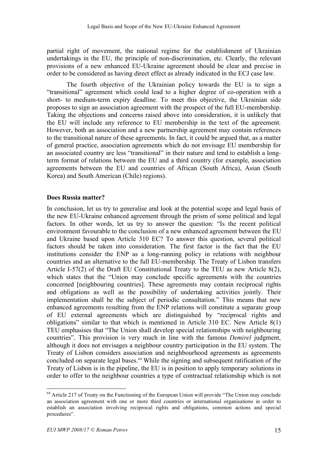partial right of movement, the national regime for the establishment of Ukrainian undertakings in the EU, the principle of non-discrimination, etc. Clearly, the relevant provisions of a new enhanced EU-Ukraine agreement should be clear and precise in order to be considered as having direct effect as already indicated in the ECJ case law.

The fourth objective of the Ukrainian policy towards the EU is to sign a "transitional" agreement which could lead to a higher degree of co-operation with a short- to medium-term expiry deadline. To meet this objective, the Ukrainian side proposes to sign an association agreement with the prospect of the full EU-membership. Taking the objections and concerns raised above into consideration, it is unlikely that the EU will include any reference to EU membership in the text of the agreement. However, both an association and a new partnership agreement may contain references to the transitional nature of these agreements. In fact, it could be argued that, as a matter of general practice, association agreements which do not envisage EU membership for an associated country are less "transitional" in their nature and tend to establish a longterm format of relations between the EU and a third country (for example, association agreements between the EU and countries of African (South Africa), Asian (South Korea) and South American (Chile) regions).

# **Does Russia matter?**

In conclusion, let us try to generalise and look at the potential scope and legal basis of the new EU-Ukraine enhanced agreement through the prism of some political and legal factors. In other words, let us try to answer the question: "Is the recent political environment favourable to the conclusion of a new enhanced agreement between the EU and Ukraine based upon Article 310 EC? To answer this question, several political factors should be taken into consideration. The first factor is the fact that the EU institutions consider the ENP as a long-running policy in relations with neighbour countries and an alternative to the full EU-membership. The Treaty of Lisbon transfers Article I-57(2) of the Draft EU Constitutional Treaty to the TEU as new Article 8(2), which states that the "Union may conclude specific agreements with the countries concerned [neighbouring countries]. These agreements may contain reciprocal rights and obligations as well as the possibility of undertaking activities jointly. Their implementation shall be the subject of periodic consultation." This means that new enhanced agreements resulting from the ENP relations will constitute a separate group of EU external agreements which are distinguished by "reciprocal rights and obligations" similar to that which is mentioned in Article 310 EC. New Article 8(1) TEU emphasises that "The Union shall develop special relationships with neighbouring countries". This provision is very much in line with the famous *Demirel* judgment, although it does not envisages a neighbour country participation in the EU system. The Treaty of Lisbon considers association and neighbourhood agreements as agreements concluded on separate legal bases. <sup>64</sup> While the signing and subsequent ratification of the Treaty of Lisbon is in the pipeline, the EU is in position to apply temporary solutions in order to offer to the neighbour countries a type of contractual relationship which is not

<sup>&</sup>lt;sup>64</sup> Article 217 of Treaty on the Functioning of the European Union will provide "The Union may conclude" an association agreement with one or more third countries or international organisations in order to establish an association involving reciprocal rights and obligations, common actions and special procedures".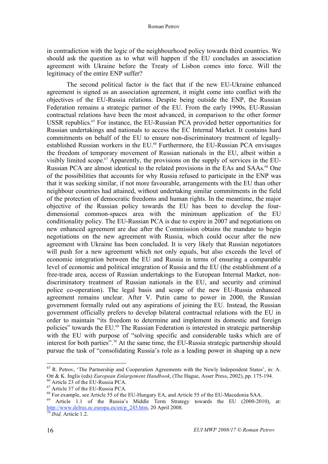in contradiction with the logic of the neighbourhood policy towards third countries. We should ask the question as to what will happen if the EU concludes an association agreement with Ukraine before the Treaty of Lisbon comes into force. Will the legitimacy of the entire ENP suffer?

The second political factor is the fact that if the new EU-Ukraine enhanced agreement is signed as an association agreement, it might come into conflict with the objectives of the EU-Russia relations. Despite being outside the ENP, the Russian Federation remains a strategic partner of the EU. From the early 1990s, EU-Russian contractual relations have been the most advanced, in comparison to the other former USSR republics. <sup>65</sup> For instance, the EU-Russian PCA provided better opportunities for Russian undertakings and nationals to access the EC Internal Market. It contains hard commitments on behalf of the EU to ensure non-discriminatory treatment of legallyestablished Russian workers in the EU. <sup>66</sup> Furthermore, the EU-Russian PCA envisages the freedom of temporary movement of Russian nationals in the EU, albeit within a visibly limited scope. <sup>67</sup> Apparently, the provisions on the supply of services in the EU-Russian PCA are almost identical to the related provisions in the EAs and SAAs.<sup>68</sup> One of the possibilities that accounts for why Russia refused to participate in the ENP was that it was seeking similar, if not more favourable, arrangements with the EU than other neighbour countries had attained, without undertaking similar commitments in the field of the protection of democratic freedoms and human rights. In the meantime, the major objective of the Russian policy towards the EU has been to develop the fourdimensional common-spaces area with the minimum application of the EU conditionality policy. The EU-Russian PCA is due to expire in 2007 and negotiations on new enhanced agreement are due after the Commission obtains the mandate to begin negotiations on the new agreement with Russia, which could occur after the new agreement with Ukraine has been concluded. It is very likely that Russian negotiators will push for a new agreement which not only equals, but also exceeds the level of economic integration between the EU and Russia in terms of ensuring a comparable level of economic and political integration of Russia and the EU (the establishment of a free-trade area, access of Russian undertakings to the European Internal Market, nondiscriminatory treatment of Russian nationals in the EU, and security and criminal police co-operation). The legal basis and scope of the new EU-Russia enhanced agreement remains unclear. After V. Putin came to power in 2000, the Russian government formally ruled out any aspirations of joining the EU. Instead, the Russian government officially prefers to develop bilateral contractual relations with the EU in order to maintain "its freedom to determine and implement its domestic and foreign policies" towards the EU. <sup>69</sup> The Russian Federation is interested in strategic partnership with the EU with purpose of "solving specific and considerable tasks which are of interest for both parties". <sup>70</sup> At the same time, the EU-Russia strategic partnership should pursue the task of "consolidating Russia's role as a leading power in shaping up a new

<sup>&</sup>lt;sup>65</sup> R. Petrov, 'The Partnership and Cooperation Agreements with the Newly Independent States', in: A. Ott & K. Inglis (eds) *European Enlargement Handbook*, (The Hague, Asser Press, 2002), pp. 175-194.<br><sup>66</sup> Article 23 of the EU-Russia PCA.<br><sup>67</sup> Article 37 of the EU-Russia PCA.<br><sup>68</sup> For example, see Article 55 of the EU-Hun

http://www.delrus.ec.europa.eu/en/p\_245.htm, 20 April 2008.<br><sup>70</sup> *Ibid*, Article 1.2.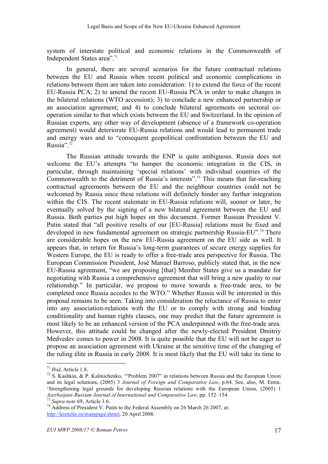system of interstate political and economic relations in the Commonwealth of Independent States area". 71

In general, there are several scenarios for the future contractual relations between the EU and Russia when recent political and economic complications in relations between them are taken into consideration: 1) to extend the force of the recent EU-Russia PCA; 2) to amend the recent EU-Russia PCA in order to make changes in the bilateral relations (WTO accession); 3) to conclude a new enhanced partnership or an association agreement; and 4) to conclude bilateral agreements on sectoral cooperation similar to that which exists between the EU and Switzerland. In the opinion of Russian experts, any other way of development (absence of a framework co-operation agreement) would deteriorate EU-Russia relations and would lead to permanent trade and energy wars and to "consequent geopolitical confrontation between the EU and Russia". 72

The Russian attitude towards the ENP is quite ambiguous. Russia does not welcome the EU's attempts "to hamper the economic integration in the CIS, in particular, through maintaining 'special relations' with individual countries of the Commonwealth to the detriment of Russia's interests". <sup>73</sup> This means that far-reaching contractual agreements between the EU and the neighbour countries could not be welcomed by Russia since these relations will definitely hinder any further integration within the CIS. The recent stalemate in EU-Russia relations will, sooner or later, be eventually solved by the signing of a new bilateral agreement between the EU and Russia. Both parties put high hopes on this document. Former Russian President V. Putin stated that "all positive results of our [EU-Russia] relations must be fixed and developed in new fundamental agreement on strategic partnership Russia-EU". <sup>74</sup> There are considerable hopes on the new EU-Russia agreement on the EU side as well. It appears that, in return for Russia's long-term guarantees of secure energy supplies for Western Europe, the EU is ready to offer a free-trade area perspective for Russia. The European Commission President, José Manuel Barroso, publicly stated that, in the new EU-Russia agreement, "we are proposing [that] Member States give us a mandate for negotiating with Russia a comprehensive agreement that will bring a new quality to our relationship." In particular, we propose to move towards a free-trade area, to be completed once Russia accedes to the WTO." Whether Russia will be interested in this proposal remains to be seen. Taking into consideration the reluctance of Russia to enter into any association-relations with the EU or to comply with strong and binding conditionality and human rights clauses, one may predict that the future agreement is most likely to be an enhanced version of the PCA underpinned with the free-trade area. However, this attitude could be changed after the newly-elected President Dmitriy Medvedev comes to power in 2008. It is quite possible that the EU will not be eager to propose an association agreement with Ukraine at the sensitive time of the changing of the ruling élite in Russia in early 2008. It is most likely that the EU will take its time to

<sup>&</sup>lt;sup>71</sup> *Ibid*, Article 1.8.<br><sup>72</sup> S. Kashkin, & P. Kalinichenko, "Problem 2007" in relations between Russia and the European Union and its legal solutions, (2005) 3 *Journal of Foreign and Comparative Law*, p.64. See, also, M. Entin, 'Strengthening legal grounds for developing Russian relations with the European Union, (2005) 1 Azerbaijani-Russian Journal of International and Comparative Law, pp. 152–154.

 $^{73}$  Supra note 69, Article 1.6.<br><sup>74</sup> Address of President V. Putin to the Federal Assembly on 26 March 26 2007, at: http://kremlin.ru/mainpage.shtml, 20 April 2008.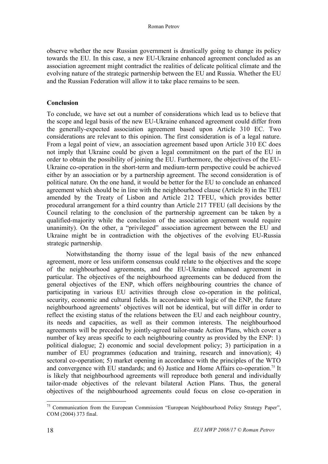observe whether the new Russian government is drastically going to change its policy towards the EU. In this case, a new EU-Ukraine enhanced agreement concluded as an association agreement might contradict the realities of delicate political climate and the evolving nature of the strategic partnership between the EU and Russia. Whether the EU and the Russian Federation will allow it to take place remains to be seen.

### **Conclusion**

To conclude, we have set out a number of considerations which lead us to believe that the scope and legal basis of the new EU-Ukraine enhanced agreement could differ from the generally-expected association agreement based upon Article 310 EC. Two considerations are relevant to this opinion. The first consideration is of a legal nature. From a legal point of view, an association agreement based upon Article 310 EC does not imply that Ukraine could be given a legal commitment on the part of the EU in order to obtain the possibility of joining the EU. Furthermore, the objectives of the EU-Ukraine co-operation in the short-term and medium-term perspective could be achieved either by an association or by a partnership agreement. The second consideration is of political nature. On the one hand, it would be better for the EU to conclude an enhanced agreement which should be in line with the neighbourhood clause (Article 8) in the TEU amended by the Treaty of Lisbon and Article 212 TFEU, which provides better procedural arrangement for a third country than Article 217 TFEU (all decisions by the Council relating to the conclusion of the partnership agreement can be taken by a qualified-majority while the conclusion of the association agreement would require unanimity). On the other, a "privileged" association agreement between the EU and Ukraine might be in contradiction with the objectives of the evolving EU-Russia strategic partnership.

Notwithstanding the thorny issue of the legal basis of the new enhanced agreement, more or less uniform consensus could relate to the objectives and the scope of the neighbourhood agreements, and the EU-Ukraine enhanced agreement in particular. The objectives of the neighbourhood agreements can be deduced from the general objectives of the ENP, which offers neighbouring countries the chance of participating in various EU activities through close co-operation in the political, security, economic and cultural fields. In accordance with logic of the ENP, the future neighbourhood agreements' objectives will not be identical, but will differ in order to reflect the existing status of the relations between the EU and each neighbour country, its needs and capacities, as well as their common interests. The neighbourhood agreements will be preceded by jointly-agreed tailor-made Action Plans, which cover a number of key areas specific to each neighbouring country as provided by the ENP: 1) political dialogue; 2) economic and social development policy; 3) participation in a number of EU programmes (education and training, research and innovation); 4) sectoral co-operation; 5) market opening in accordance with the principles of the WTO and convergence with EU standards; and 6) Justice and Home Affairs co-operation. <sup>75</sup> It is likely that neighbourhood agreements will reproduce both general and individually tailor-made objectives of the relevant bilateral Action Plans. Thus, the general objectives of the neighbourhood agreements could focus on close co-operation in

 $75$  Communication from the European Commission "European Neighbourhood Policy Strategy Paper", COM (2004) 373 final.